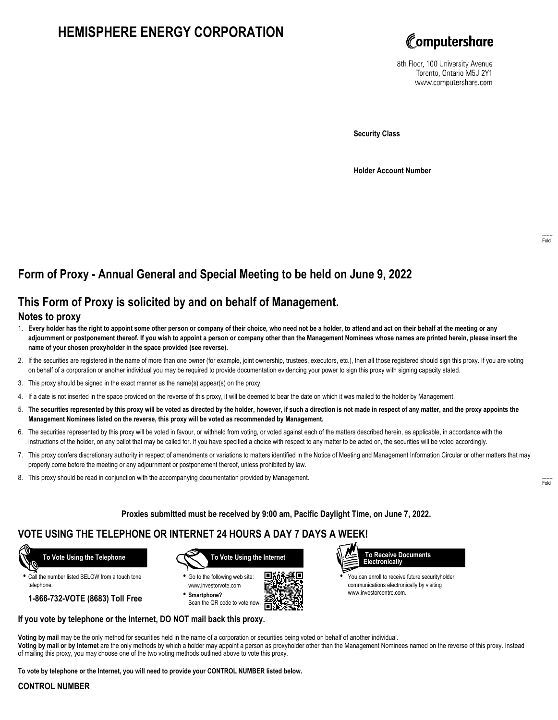# **HEMISPHERE ENERGY CORPORATION**



8th Floor, 100 University Avenue Toronto, Ontario M5J 2Y1 www.computershare.com

**Security Class**

**Holder Account Number**

# **Form of Proxy - Annual General and Special Meeting to be held on June 9, 2022**

## **This Form of Proxy is solicited by and on behalf of Management.**

### **Notes to proxy**

- 1. **Every holder has the right to appoint some other person or company of their choice, who need not be a holder, to attend and act on their behalf at the meeting or any adjournment or postponement thereof. If you wish to appoint a person or company other than the Management Nominees whose names are printed herein, please insert the name of your chosen proxyholder in the space provided (see reverse).**
- 2. If the securities are registered in the name of more than one owner (for example, joint ownership, trustees, executors, etc.), then all those registered should sign this proxy. If you are voting on behalf of a corporation or another individual you may be required to provide documentation evidencing your power to sign this proxy with signing capacity stated.
- 3. This proxy should be signed in the exact manner as the name(s) appear(s) on the proxy.
- 4. If a date is not inserted in the space provided on the reverse of this proxy, it will be deemed to bear the date on which it was mailed to the holder by Management.
- 5. **The securities represented by this proxy will be voted as directed by the holder, however, if such a direction is not made in respect of any matter, and the proxy appoints the Management Nominees listed on the reverse, this proxy will be voted as recommended by Management.**
- 6. The securities represented by this proxy will be voted in favour, or withheld from voting, or voted against each of the matters described herein, as applicable, in accordance with the instructions of the holder, on any ballot that may be called for. If you have specified a choice with respect to any matter to be acted on, the securities will be voted accordingly.
- 7. This proxy confers discretionary authority in respect of amendments or variations to matters identified in the Notice of Meeting and Management Information Circular or other matters that may properly come before the meeting or any adjournment or postponement thereof, unless prohibited by law.
- 8. This proxy should be read in conjunction with the accompanying documentation provided by Management.

**Proxies submitted must be received by 9:00 am, Pacific Daylight Time, on June 7, 2022.**

## **VOTE USING THE TELEPHONE OR INTERNET 24 HOURS A DAY 7 DAYS A WEEK!**

 **To Vote Using the Telephone**

**•** Call the number listed BELOW from a touch tone telephone.

**1-866-732-VOTE (8683) Toll Free**



**•** Go to the following web site: www.investorvote.com **• Smartphone?**

Scan the QR code to vote now.





**•** You can enroll to receive future securityholder communications electronically by visiting www.investorcentre.com.

#### **If you vote by telephone or the Internet, DO NOT mail back this proxy.**

**Voting by mail** may be the only method for securities held in the name of a corporation or securities being voted on behalf of another individual. **Voting by mail or by Internet** are the only methods by which a holder may appoint a person as proxyholder other than the Management Nominees named on the reverse of this proxy. Instead of mailing this proxy, you may choose one of the two voting methods outlined above to vote this proxy.

**To vote by telephone or the Internet, you will need to provide your CONTROL NUMBER listed below.**

#### **CONTROL NUMBER**